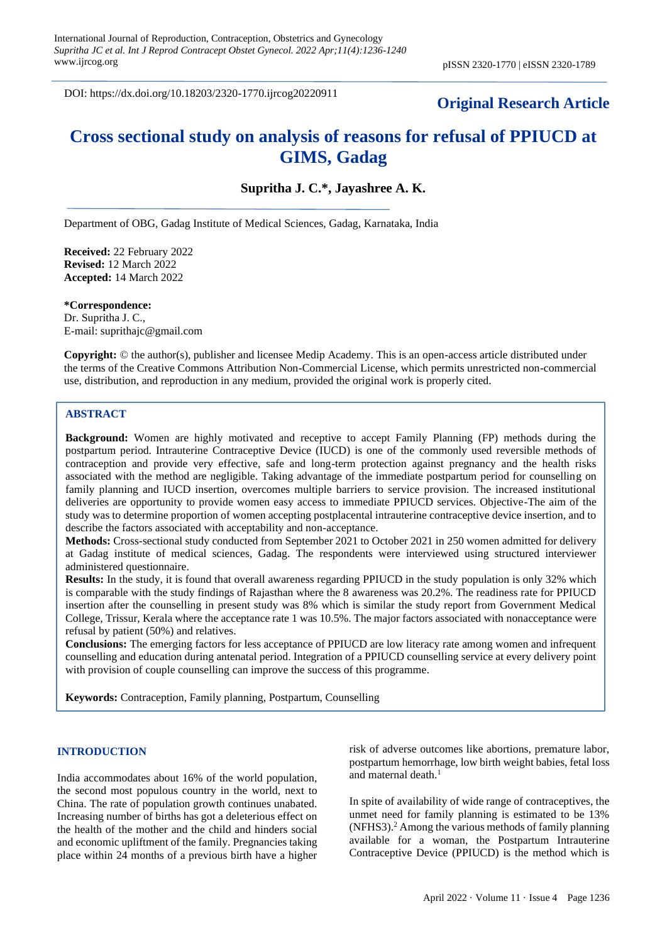DOI: https://dx.doi.org/10.18203/2320-1770.ijrcog20220911

# **Original Research Article**

# **Cross sectional study on analysis of reasons for refusal of PPIUCD at GIMS, Gadag**

**Supritha J. C.\*, Jayashree A. K.**

Department of OBG, Gadag Institute of Medical Sciences, Gadag, Karnataka, India

**Received:** 22 February 2022 **Revised:** 12 March 2022 **Accepted:** 14 March 2022

**\*Correspondence:** Dr. Supritha J. C., E-mail: suprithajc@gmail.com

**Copyright:** © the author(s), publisher and licensee Medip Academy. This is an open-access article distributed under the terms of the Creative Commons Attribution Non-Commercial License, which permits unrestricted non-commercial use, distribution, and reproduction in any medium, provided the original work is properly cited.

## **ABSTRACT**

**Background:** Women are highly motivated and receptive to accept Family Planning (FP) methods during the postpartum period. Intrauterine Contraceptive Device (IUCD) is one of the commonly used reversible methods of contraception and provide very effective, safe and long-term protection against pregnancy and the health risks associated with the method are negligible. Taking advantage of the immediate postpartum period for counselling on family planning and IUCD insertion, overcomes multiple barriers to service provision. The increased institutional deliveries are opportunity to provide women easy access to immediate PPIUCD services. Objective-The aim of the study was to determine proportion of women accepting postplacental intrauterine contraceptive device insertion, and to describe the factors associated with acceptability and non-acceptance.

**Methods:** Cross-sectional study conducted from September 2021 to October 2021 in 250 women admitted for delivery at Gadag institute of medical sciences, Gadag. The respondents were interviewed using structured interviewer administered questionnaire.

**Results:** In the study, it is found that overall awareness regarding PPIUCD in the study population is only 32% which is comparable with the study findings of Rajasthan where the 8 awareness was 20.2%. The readiness rate for PPIUCD insertion after the counselling in present study was 8% which is similar the study report from Government Medical College, Trissur, Kerala where the acceptance rate 1 was 10.5%. The major factors associated with nonacceptance were refusal by patient (50%) and relatives.

**Conclusions:** The emerging factors for less acceptance of PPIUCD are low literacy rate among women and infrequent counselling and education during antenatal period. Integration of a PPIUCD counselling service at every delivery point with provision of couple counselling can improve the success of this programme.

**Keywords:** Contraception, Family planning, Postpartum, Counselling

#### **INTRODUCTION**

India accommodates about 16% of the world population, the second most populous country in the world, next to China. The rate of population growth continues unabated. Increasing number of births has got a deleterious effect on the health of the mother and the child and hinders social and economic upliftment of the family. Pregnancies taking place within 24 months of a previous birth have a higher

risk of adverse outcomes like abortions, premature labor, postpartum hemorrhage, low birth weight babies, fetal loss and maternal death. $<sup>1</sup>$ </sup>

In spite of availability of wide range of contraceptives, the unmet need for family planning is estimated to be 13% (NFHS3).<sup>2</sup> Among the various methods of family planning available for a woman, the Postpartum Intrauterine Contraceptive Device (PPIUCD) is the method which is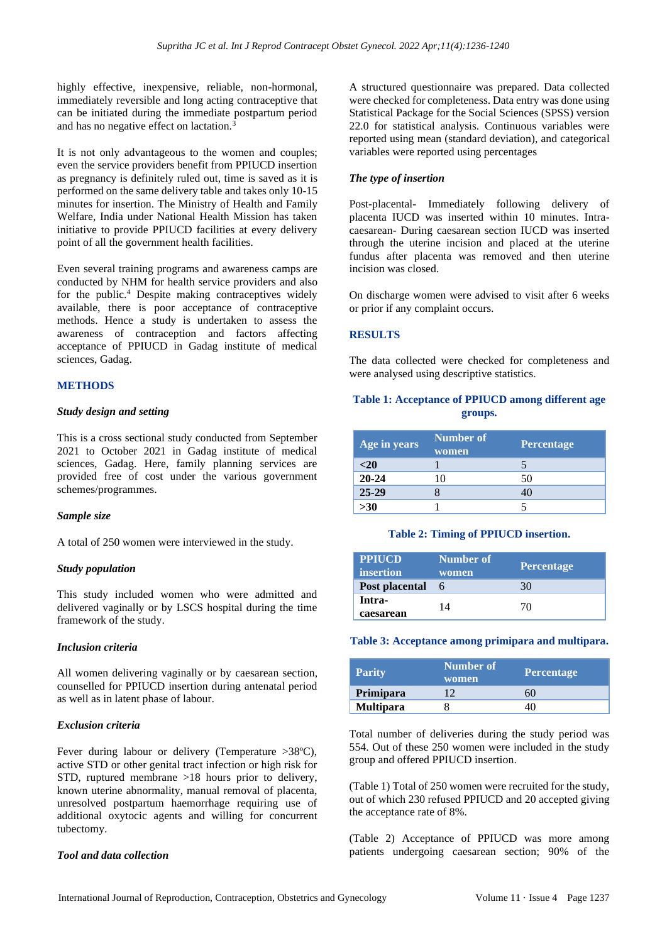highly effective, inexpensive, reliable, non-hormonal, immediately reversible and long acting contraceptive that can be initiated during the immediate postpartum period and has no negative effect on lactation.<sup>3</sup>

It is not only advantageous to the women and couples; even the service providers benefit from PPIUCD insertion as pregnancy is definitely ruled out, time is saved as it is performed on the same delivery table and takes only 10-15 minutes for insertion. The Ministry of Health and Family Welfare, India under National Health Mission has taken initiative to provide PPIUCD facilities at every delivery point of all the government health facilities.

Even several training programs and awareness camps are conducted by NHM for health service providers and also for the public.<sup>4</sup> Despite making contraceptives widely available, there is poor acceptance of contraceptive methods. Hence a study is undertaken to assess the awareness of contraception and factors affecting acceptance of PPIUCD in Gadag institute of medical sciences, Gadag.

## **METHODS**

#### *Study design and setting*

This is a cross sectional study conducted from September 2021 to October 2021 in Gadag institute of medical sciences, Gadag. Here, family planning services are provided free of cost under the various government schemes/programmes.

#### *Sample size*

A total of 250 women were interviewed in the study.

## *Study population*

This study included women who were admitted and delivered vaginally or by LSCS hospital during the time framework of the study.

#### *Inclusion criteria*

All women delivering vaginally or by caesarean section, counselled for PPIUCD insertion during antenatal period as well as in latent phase of labour.

## *Exclusion criteria*

Fever during labour or delivery (Temperature >38°C), active STD or other genital tract infection or high risk for STD, ruptured membrane >18 hours prior to delivery, known uterine abnormality, manual removal of placenta, unresolved postpartum haemorrhage requiring use of additional oxytocic agents and willing for concurrent tubectomy.

#### *Tool and data collection*

A structured questionnaire was prepared. Data collected were checked for completeness. Data entry was done using Statistical Package for the Social Sciences (SPSS) version 22.0 for statistical analysis. Continuous variables were reported using mean (standard deviation), and categorical variables were reported using percentages

## *The type of insertion*

Post-placental- Immediately following delivery of placenta IUCD was inserted within 10 minutes. Intracaesarean- During caesarean section IUCD was inserted through the uterine incision and placed at the uterine fundus after placenta was removed and then uterine incision was closed.

On discharge women were advised to visit after 6 weeks or prior if any complaint occurs.

## **RESULTS**

The data collected were checked for completeness and were analysed using descriptive statistics.

## **Table 1: Acceptance of PPIUCD among different age groups.**

| Age in years | <b>Number of</b><br>women | Percentage |
|--------------|---------------------------|------------|
| $20$         |                           |            |
| $20 - 24$    |                           | 50         |
| $25 - 29$    |                           |            |
| $>30$        |                           |            |

#### **Table 2: Timing of PPIUCD insertion.**

| PPIUCD<br>insertion | Number of<br>women | Percentage |
|---------------------|--------------------|------------|
| Post placental      |                    | 30         |
| Intra-<br>caesarean | 14                 | 70         |

#### **Table 3: Acceptance among primipara and multipara.**

| <b>Parity</b>    | <b>Number of</b><br>women | <b>Percentage</b> |
|------------------|---------------------------|-------------------|
| Primipara        |                           |                   |
| <b>Multipara</b> |                           |                   |

Total number of deliveries during the study period was 554. Out of these 250 women were included in the study group and offered PPIUCD insertion.

(Table 1) Total of 250 women were recruited for the study, out of which 230 refused PPIUCD and 20 accepted giving the acceptance rate of 8%.

(Table 2) Acceptance of PPIUCD was more among patients undergoing caesarean section; 90% of the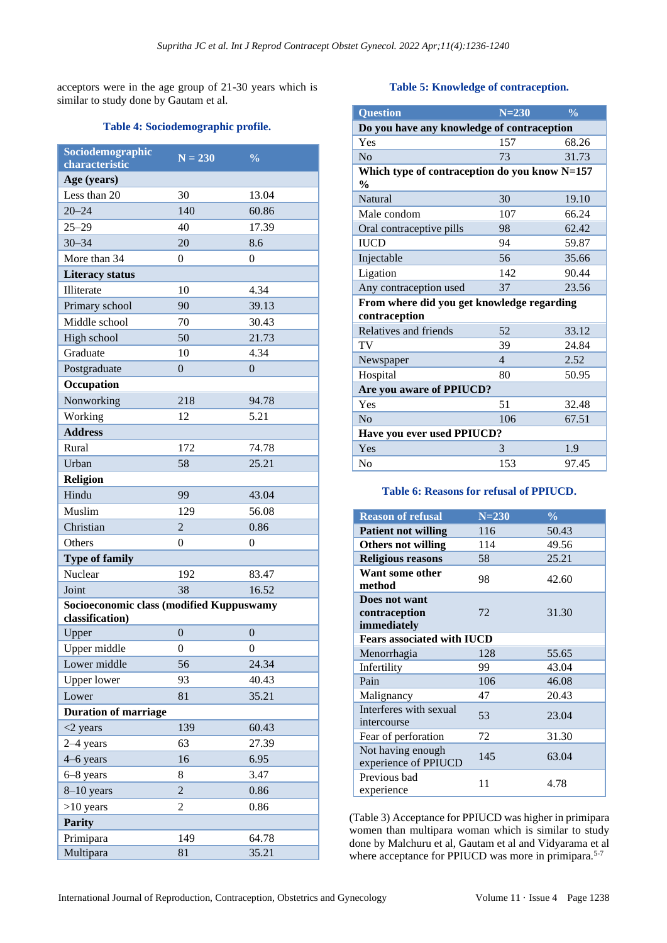acceptors were in the age group of 21-30 years which is similar to study done by Gautam et al.

#### **Table 4: Sociodemographic profile.**

| Sociodemographic<br>characteristic                          | $N = 230$        | $\overline{\frac{0}{0}}$ |
|-------------------------------------------------------------|------------------|--------------------------|
| Age (years)                                                 |                  |                          |
| Less than 20                                                | 30               | 13.04                    |
| $20 - 24$                                                   | 140              | 60.86                    |
| $25 - 29$                                                   | 40               | 17.39                    |
| $30 - 34$                                                   | 20               | 8.6                      |
| More than 34                                                |                  |                          |
| <b>Literacy status</b>                                      | 0                | 0                        |
| <b>Illiterate</b>                                           | 10               | 4.34                     |
|                                                             |                  |                          |
| Primary school                                              | 90               | 39.13                    |
| Middle school                                               | 70               | 30.43                    |
| High school                                                 | 50               | 21.73                    |
| Graduate                                                    | 10               | 4.34                     |
| Postgraduate                                                | $\theta$         | $\Omega$                 |
| Occupation                                                  |                  |                          |
| Nonworking                                                  | 218              | 94.78                    |
| Working                                                     | 12               | 5.21                     |
| <b>Address</b>                                              |                  |                          |
| Rural                                                       | 172              | 74.78                    |
| Urban                                                       | 58               | 25.21                    |
| Religion                                                    |                  |                          |
| Hindu                                                       | 99               | 43.04                    |
| Muslim                                                      | 129              | 56.08                    |
| Christian                                                   | 2                | 0.86                     |
| Others                                                      | $\theta$         | 0                        |
| <b>Type of family</b>                                       |                  |                          |
| Nuclear                                                     | 192              | 83.47                    |
| Joint                                                       | 38               | 16.52                    |
| Socioeconomic class (modified Kuppuswamy<br>classification) |                  |                          |
| Upper                                                       | $\overline{0}$   | $\overline{0}$           |
| Upper middle                                                | $\boldsymbol{0}$ | $\boldsymbol{0}$         |
| Lower middle                                                | 56               | 24.34                    |
| <b>Upper lower</b>                                          | 93               | 40.43                    |
| Lower                                                       | 81               | 35.21                    |
| <b>Duration of marriage</b>                                 |                  |                          |
| $<$ 2 years                                                 | 139              | 60.43                    |
| $2-4$ years                                                 | 63               | 27.39                    |
| 4–6 years                                                   | 16               | 6.95                     |
| 6-8 years                                                   | 8                | 3.47                     |
| 8-10 years                                                  | $\overline{c}$   | 0.86                     |
|                                                             |                  |                          |
| $>10$ years                                                 | 2                | 0.86                     |
| <b>Parity</b>                                               |                  |                          |
| Primipara                                                   | 149              | 64.78                    |
| Multipara                                                   | 81               | 35.21                    |

## **Table 5: Knowledge of contraception.**

| <b>Question</b>                               | $N = 230$      | $\frac{0}{0}$ |  |
|-----------------------------------------------|----------------|---------------|--|
| Do you have any knowledge of contraception    |                |               |  |
| Yes                                           | 157            | 68.26         |  |
| No                                            | 73             | 31.73         |  |
| Which type of contraception do you know N=157 |                |               |  |
| $\frac{0}{0}$                                 |                |               |  |
| <b>Natural</b>                                | 30             | 19.10         |  |
| Male condom                                   | 107            | 66.24         |  |
| Oral contraceptive pills                      | 98             | 62.42         |  |
| <b>IUCD</b>                                   | 94             | 59.87         |  |
| Injectable                                    | 56             | 35.66         |  |
| Ligation                                      | 142            | 90.44         |  |
| Any contraception used                        | 37             | 23.56         |  |
| From where did you get knowledge regarding    |                |               |  |
| contraception                                 |                |               |  |
| Relatives and friends                         | 52             | 33.12         |  |
| TV                                            | 39             | 24.84         |  |
| Newspaper                                     | $\overline{4}$ | 2.52          |  |
| Hospital                                      | 80             | 50.95         |  |
| Are you aware of PPIUCD?                      |                |               |  |
| Yes                                           | 51             | 32.48         |  |
| No                                            | 106            | 67.51         |  |
| Have you ever used PPIUCD?                    |                |               |  |
| Yes                                           | 3              | 1.9           |  |
| No                                            | 153            | 97.45         |  |

## **Table 6: Reasons for refusal of PPIUCD.**

| <b>Reason of refusal</b>                      | $N = 230$ | $\frac{0}{0}$ |  |
|-----------------------------------------------|-----------|---------------|--|
| <b>Patient not willing</b>                    | 116       | 50.43         |  |
| <b>Others not willing</b>                     | 114       | 49.56         |  |
| <b>Religious reasons</b>                      | 58        | 25.21         |  |
| Want some other<br>method                     | 98        | 42.60         |  |
| Does not want<br>contraception<br>immediately | 72        | 31.30         |  |
| <b>Fears associated with IUCD</b>             |           |               |  |
| Menorrhagia                                   | 128       | 55.65         |  |
| Infertility                                   | 99        | 43.04         |  |
| Pain                                          | 106       | 46.08         |  |
| Malignancy                                    | 47        | 20.43         |  |
| Interferes with sexual<br>intercourse         | 53        | 23.04         |  |
| Fear of perforation                           | 72        | 31.30         |  |
| Not having enough<br>experience of PPIUCD     | 145       | 63.04         |  |
| Previous bad<br>experience                    | 11        | 4.78          |  |

(Table 3) Acceptance for PPIUCD was higher in primipara women than multipara woman which is similar to study done by Malchuru et al, Gautam et al and Vidyarama et al where acceptance for PPIUCD was more in primipara.<sup>5-7</sup>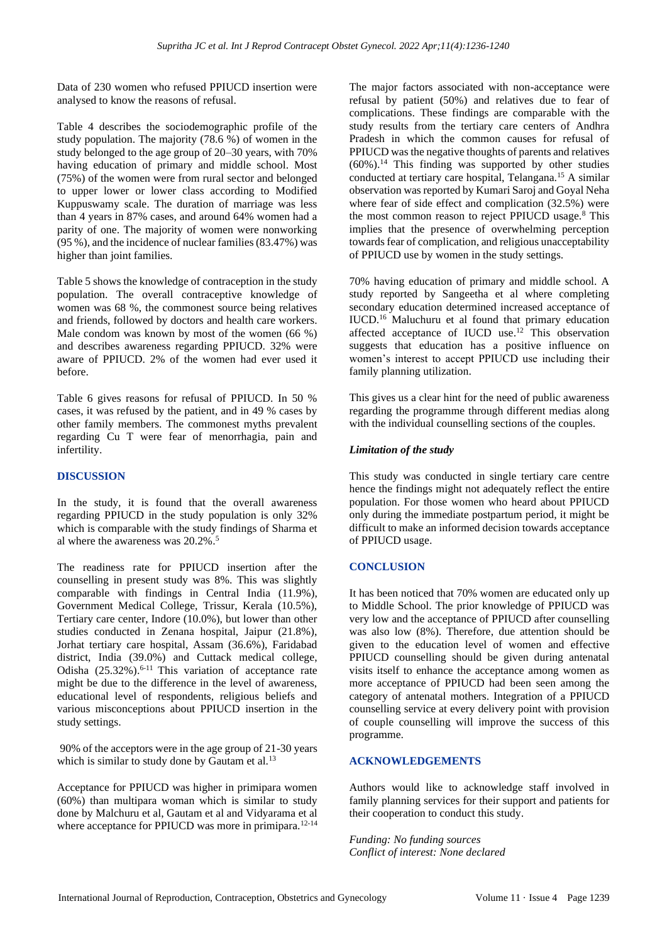Data of 230 women who refused PPIUCD insertion were analysed to know the reasons of refusal.

Table 4 describes the sociodemographic profile of the study population. The majority (78.6 %) of women in the study belonged to the age group of 20–30 years, with 70% having education of primary and middle school. Most (75%) of the women were from rural sector and belonged to upper lower or lower class according to Modified Kuppuswamy scale. The duration of marriage was less than 4 years in 87% cases, and around 64% women had a parity of one. The majority of women were nonworking (95 %), and the incidence of nuclear families (83.47%) was higher than joint families.

Table 5 shows the knowledge of contraception in the study population. The overall contraceptive knowledge of women was 68 %, the commonest source being relatives and friends, followed by doctors and health care workers. Male condom was known by most of the women (66 %) and describes awareness regarding PPIUCD. 32% were aware of PPIUCD. 2% of the women had ever used it before.

Table 6 gives reasons for refusal of PPIUCD. In 50 % cases, it was refused by the patient, and in 49 % cases by other family members. The commonest myths prevalent regarding Cu T were fear of menorrhagia, pain and infertility.

## **DISCUSSION**

In the study, it is found that the overall awareness regarding PPIUCD in the study population is only 32% which is comparable with the study findings of Sharma et al where the awareness was 20.2%. 5

The readiness rate for PPIUCD insertion after the counselling in present study was 8%. This was slightly comparable with findings in Central India (11.9%), Government Medical College, Trissur, Kerala (10.5%), Tertiary care center, Indore (10.0%), but lower than other studies conducted in Zenana hospital, Jaipur (21.8%), Jorhat tertiary care hospital, Assam (36.6%), Faridabad district, India (39.0%) and Cuttack medical college, Odisha (25.32%).<sup>6-11</sup> This variation of acceptance rate might be due to the difference in the level of awareness, educational level of respondents, religious beliefs and various misconceptions about PPIUCD insertion in the study settings.

90% of the acceptors were in the age group of 21-30 years which is similar to study done by Gautam et al. $^{13}$ 

Acceptance for PPIUCD was higher in primipara women (60%) than multipara woman which is similar to study done by Malchuru et al, Gautam et al and Vidyarama et al where acceptance for PPIUCD was more in primipara.<sup>12-14</sup> The major factors associated with non-acceptance were refusal by patient (50%) and relatives due to fear of complications. These findings are comparable with the study results from the tertiary care centers of Andhra Pradesh in which the common causes for refusal of PPIUCD was the negative thoughts of parents and relatives  $(60\%)$ .<sup>14</sup> This finding was supported by other studies conducted at tertiary care hospital, Telangana.<sup>15</sup> A similar observation was reported by Kumari Saroj and Goyal Neha where fear of side effect and complication (32.5%) were the most common reason to reject PPIUCD usage.<sup>8</sup> This implies that the presence of overwhelming perception towards fear of complication, and religious unacceptability of PPIUCD use by women in the study settings.

70% having education of primary and middle school. A study reported by Sangeetha et al where completing secondary education determined increased acceptance of IUCD.<sup>16</sup> Maluchuru et al found that primary education affected acceptance of IUCD use. <sup>12</sup> This observation suggests that education has a positive influence on women's interest to accept PPIUCD use including their family planning utilization.

This gives us a clear hint for the need of public awareness regarding the programme through different medias along with the individual counselling sections of the couples.

#### *Limitation of the study*

This study was conducted in single tertiary care centre hence the findings might not adequately reflect the entire population. For those women who heard about PPIUCD only during the immediate postpartum period, it might be difficult to make an informed decision towards acceptance of PPIUCD usage.

#### **CONCLUSION**

It has been noticed that 70% women are educated only up to Middle School. The prior knowledge of PPIUCD was very low and the acceptance of PPIUCD after counselling was also low (8%). Therefore, due attention should be given to the education level of women and effective PPIUCD counselling should be given during antenatal visits itself to enhance the acceptance among women as more acceptance of PPIUCD had been seen among the category of antenatal mothers. Integration of a PPIUCD counselling service at every delivery point with provision of couple counselling will improve the success of this programme.

## **ACKNOWLEDGEMENTS**

Authors would like to acknowledge staff involved in family planning services for their support and patients for their cooperation to conduct this study.

*Funding: No funding sources Conflict of interest: None declared*